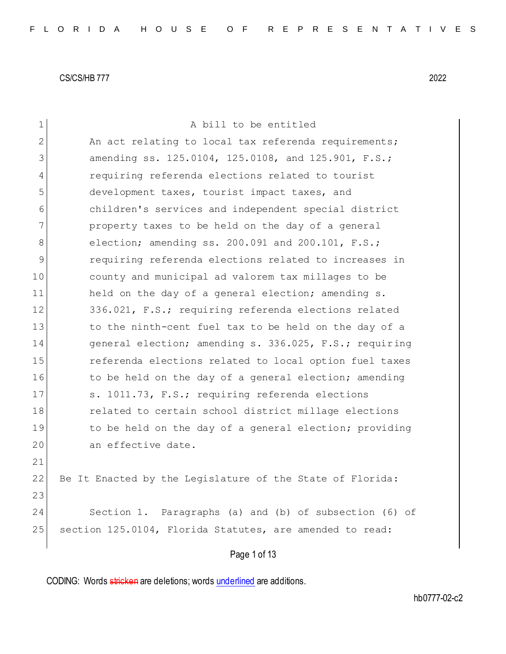| $\mathbf 1$  | A bill to be entitled                                     |  |  |  |  |  |  |  |  |  |  |
|--------------|-----------------------------------------------------------|--|--|--|--|--|--|--|--|--|--|
| $\mathbf{2}$ | An act relating to local tax referenda requirements;      |  |  |  |  |  |  |  |  |  |  |
| 3            | amending ss. 125.0104, 125.0108, and 125.901, F.S.;       |  |  |  |  |  |  |  |  |  |  |
| 4            | requiring referenda elections related to tourist          |  |  |  |  |  |  |  |  |  |  |
| 5            | development taxes, tourist impact taxes, and              |  |  |  |  |  |  |  |  |  |  |
| 6            | children's services and independent special district      |  |  |  |  |  |  |  |  |  |  |
| 7            | property taxes to be held on the day of a general         |  |  |  |  |  |  |  |  |  |  |
| 8            | election; amending ss. $200.091$ and $200.101$ , $F.S.$ ; |  |  |  |  |  |  |  |  |  |  |
| 9            | requiring referenda elections related to increases in     |  |  |  |  |  |  |  |  |  |  |
| 10           | county and municipal ad valorem tax millages to be        |  |  |  |  |  |  |  |  |  |  |
| 11           | held on the day of a general election; amending s.        |  |  |  |  |  |  |  |  |  |  |
| 12           | 336.021, F.S.; requiring referenda elections related      |  |  |  |  |  |  |  |  |  |  |
| 13           | to the ninth-cent fuel tax to be held on the day of a     |  |  |  |  |  |  |  |  |  |  |
| 14           | general election; amending s. 336.025, F.S.; requiring    |  |  |  |  |  |  |  |  |  |  |
| 15           | referenda elections related to local option fuel taxes    |  |  |  |  |  |  |  |  |  |  |
| 16           | to be held on the day of a general election; amending     |  |  |  |  |  |  |  |  |  |  |
| 17           | s. 1011.73, F.S.; requiring referenda elections           |  |  |  |  |  |  |  |  |  |  |
| 18           | related to certain school district millage elections      |  |  |  |  |  |  |  |  |  |  |
| 19           | to be held on the day of a general election; providing    |  |  |  |  |  |  |  |  |  |  |
| 20           | an effective date.                                        |  |  |  |  |  |  |  |  |  |  |
| 21           |                                                           |  |  |  |  |  |  |  |  |  |  |
| 22           | Be It Enacted by the Legislature of the State of Florida: |  |  |  |  |  |  |  |  |  |  |
| 23           |                                                           |  |  |  |  |  |  |  |  |  |  |
| 24           | Section 1. Paragraphs (a) and (b) of subsection (6) of    |  |  |  |  |  |  |  |  |  |  |
| 25           | section 125.0104, Florida Statutes, are amended to read:  |  |  |  |  |  |  |  |  |  |  |
|              | Page 1 of 13                                              |  |  |  |  |  |  |  |  |  |  |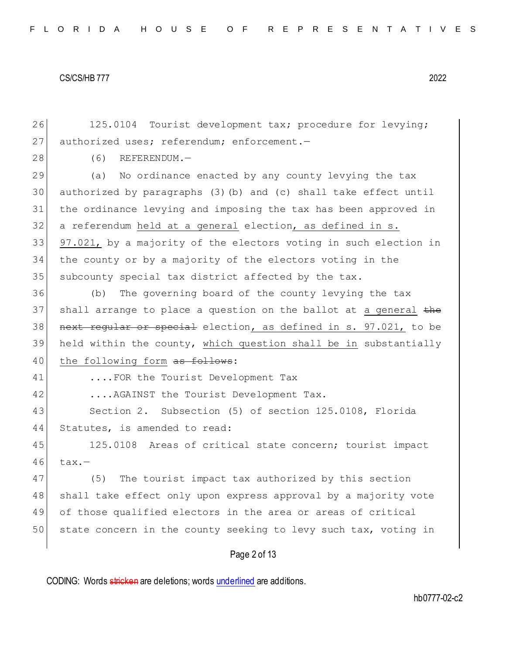26 125.0104 Tourist development tax; procedure for levying; 27 authorized uses; referendum; enforcement.-

28 (6) REFERENDUM.

29 (a) No ordinance enacted by any county levying the tax authorized by paragraphs (3)(b) and (c) shall take effect until the ordinance levying and imposing the tax has been approved in a referendum held at a general election, as defined in s. 97.021, by a majority of the electors voting in such election in the county or by a majority of the electors voting in the 35 subcounty special tax district affected by the tax.

36 (b) The governing board of the county levying the tax 37 shall arrange to place a question on the ballot at a general the 38 next regular or special election, as defined in s. 97.021, to be 39 held within the county, which question shall be in substantially 40 the following form as follows:

41 ....FOR the Tourist Development Tax

42 ....AGAINST the Tourist Development Tax.

43 Section 2. Subsection (5) of section 125.0108, Florida 44 Statutes, is amended to read:

45 125.0108 Areas of critical state concern; tourist impact  $46$  tax.-

47 (5) The tourist impact tax authorized by this section 48 shall take effect only upon express approval by a majority vote 49 of those qualified electors in the area or areas of critical 50 state concern in the county seeking to levy such tax, voting in

## Page 2 of 13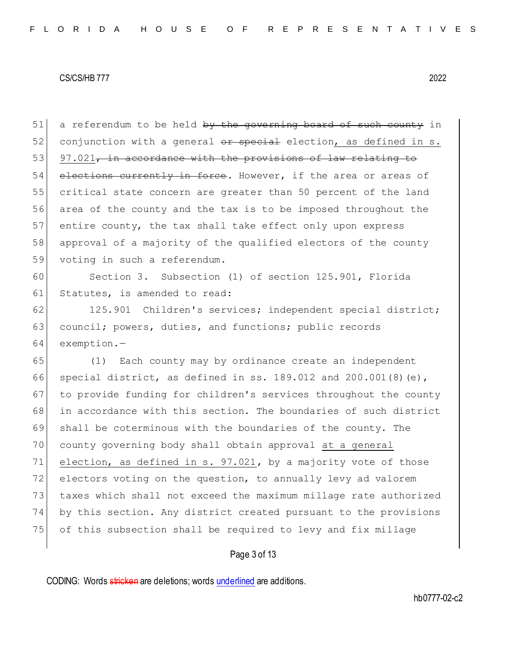$51$  a referendum to be held by the governing board of such county in 52 conjunction with a general  $\theta$  ar special election, as defined in s.  $53$  97.021, in accordance with the provisions of law relating to 54 elections currently in force. However, if the area or areas of 55 critical state concern are greater than 50 percent of the land 56 area of the county and the tax is to be imposed throughout the 57 entire county, the tax shall take effect only upon express 58 approval of a majority of the qualified electors of the county 59 voting in such a referendum.

60 Section 3. Subsection (1) of section 125.901, Florida 61 Statutes, is amended to read:

62 125.901 Children's services; independent special district; 63 council; powers, duties, and functions; public records 64 exemption.—

 (1) Each county may by ordinance create an independent special district, as defined in ss. 189.012 and 200.001(8)(e), 67 to provide funding for children's services throughout the county in accordance with this section. The boundaries of such district shall be coterminous with the boundaries of the county. The county governing body shall obtain approval at a general 71 election, as defined in s. 97.021, by a majority vote of those 72 electors voting on the question, to annually levy ad valorem taxes which shall not exceed the maximum millage rate authorized by this section. Any district created pursuant to the provisions of this subsection shall be required to levy and fix millage

## Page 3 of 13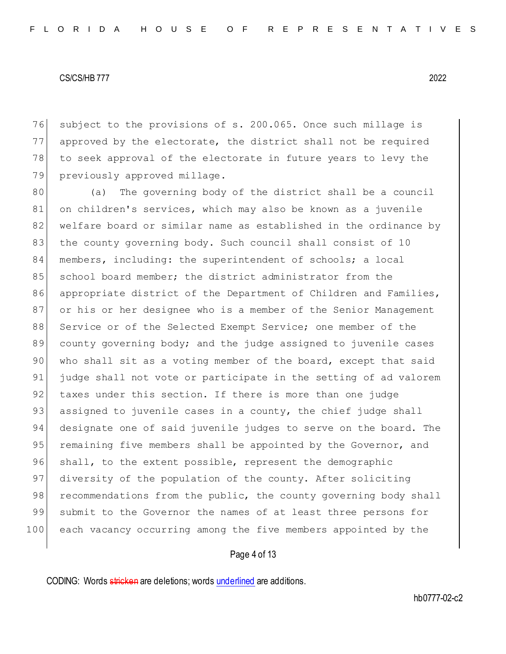subject to the provisions of s. 200.065. Once such millage is approved by the electorate, the district shall not be required to seek approval of the electorate in future years to levy the 79 previously approved millage.

80 (a) The governing body of the district shall be a council 81 on children's services, which may also be known as a juvenile 82 welfare board or similar name as established in the ordinance by 83 the county governing body. Such council shall consist of 10 84 members, including: the superintendent of schools; a local 85 school board member; the district administrator from the 86 appropriate district of the Department of Children and Families, 87 or his or her designee who is a member of the Senior Management 88 Service or of the Selected Exempt Service; one member of the 89 county governing body; and the judge assigned to juvenile cases 90 who shall sit as a voting member of the board, except that said 91 judge shall not vote or participate in the setting of ad valorem 92 taxes under this section. If there is more than one judge 93 assigned to juvenile cases in a county, the chief judge shall 94 designate one of said juvenile judges to serve on the board. The 95 remaining five members shall be appointed by the Governor, and 96 shall, to the extent possible, represent the demographic 97 diversity of the population of the county. After soliciting 98 recommendations from the public, the county governing body shall 99 submit to the Governor the names of at least three persons for 100 each vacancy occurring among the five members appointed by the

## Page 4 of 13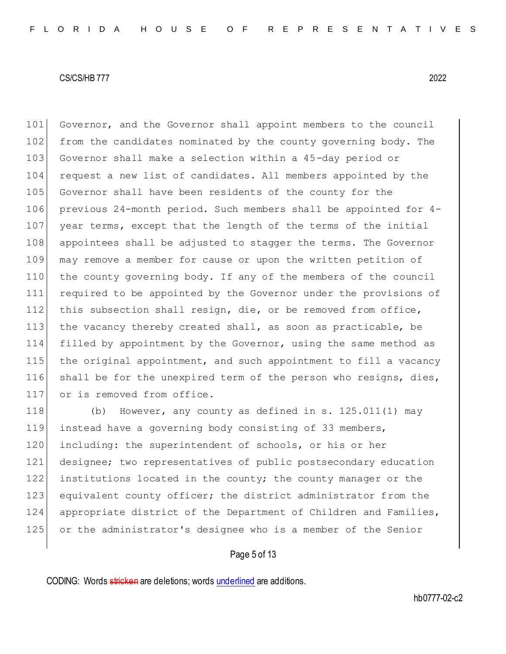101 Governor, and the Governor shall appoint members to the council 102 from the candidates nominated by the county governing body. The Governor shall make a selection within a 45-day period or 104 request a new list of candidates. All members appointed by the Governor shall have been residents of the county for the previous 24-month period. Such members shall be appointed for 4- year terms, except that the length of the terms of the initial appointees shall be adjusted to stagger the terms. The Governor may remove a member for cause or upon the written petition of the county governing body. If any of the members of the council required to be appointed by the Governor under the provisions of this subsection shall resign, die, or be removed from office, 113 the vacancy thereby created shall, as soon as practicable, be filled by appointment by the Governor, using the same method as the original appointment, and such appointment to fill a vacancy 116 shall be for the unexpired term of the person who resigns, dies, 117 or is removed from office.

118 (b) However, any county as defined in s. 125.011(1) may instead have a governing body consisting of 33 members, 120 including: the superintendent of schools, or his or her designee; two representatives of public postsecondary education institutions located in the county; the county manager or the 123 equivalent county officer; the district administrator from the appropriate district of the Department of Children and Families, or the administrator's designee who is a member of the Senior

## Page 5 of 13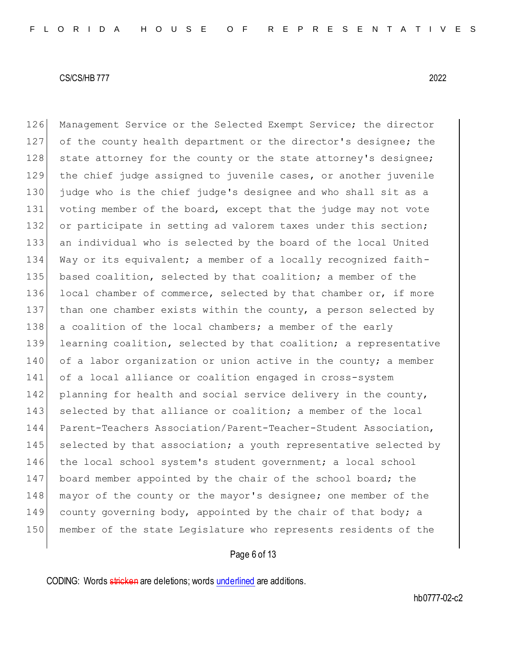126 Management Service or the Selected Exempt Service; the director

#### CS/CS/HB 777 2022

127 of the county health department or the director's designee; the 128 state attorney for the county or the state attorney's designee; 129 the chief judge assigned to juvenile cases, or another juvenile 130 judge who is the chief judge's designee and who shall sit as a 131 voting member of the board, except that the judge may not vote 132 or participate in setting ad valorem taxes under this section; 133 an individual who is selected by the board of the local United 134 Way or its equivalent; a member of a locally recognized faith-135 based coalition, selected by that coalition; a member of the 136 local chamber of commerce, selected by that chamber or, if more 137 than one chamber exists within the county, a person selected by 138 a coalition of the local chambers; a member of the early 139 learning coalition, selected by that coalition; a representative 140 of a labor organization or union active in the county; a member 141 of a local alliance or coalition engaged in cross-system 142 planning for health and social service delivery in the county, 143 selected by that alliance or coalition; a member of the local 144 Parent-Teachers Association/Parent-Teacher-Student Association, 145 selected by that association; a youth representative selected by 146 the local school system's student government; a local school 147 board member appointed by the chair of the school board; the

148 mayor of the county or the mayor's designee; one member of the 149 county governing body, appointed by the chair of that body; a 150 member of the state Legislature who represents residents of the

## Page 6 of 13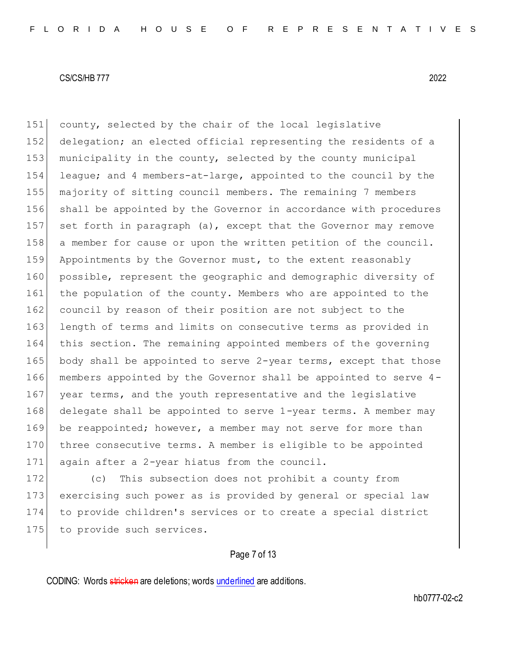151 county, selected by the chair of the local legislative 152 delegation; an elected official representing the residents of a 153 municipality in the county, selected by the county municipal 154 league; and 4 members-at-large, appointed to the council by the 155 majority of sitting council members. The remaining 7 members 156 shall be appointed by the Governor in accordance with procedures 157 set forth in paragraph (a), except that the Governor may remove 158 a member for cause or upon the written petition of the council. 159 Appointments by the Governor must, to the extent reasonably 160 possible, represent the geographic and demographic diversity of 161 the population of the county. Members who are appointed to the 162 council by reason of their position are not subject to the 163 length of terms and limits on consecutive terms as provided in 164 this section. The remaining appointed members of the governing 165 body shall be appointed to serve 2-year terms, except that those 166 members appointed by the Governor shall be appointed to serve 4- 167 year terms, and the youth representative and the legislative 168 delegate shall be appointed to serve 1-year terms. A member may 169 be reappointed; however, a member may not serve for more than 170 three consecutive terms. A member is eligible to be appointed 171 again after a 2-year hiatus from the council. 172 (c) This subsection does not prohibit a county from

173 exercising such power as is provided by general or special law 174 to provide children's services or to create a special district 175 to provide such services.

## Page 7 of 13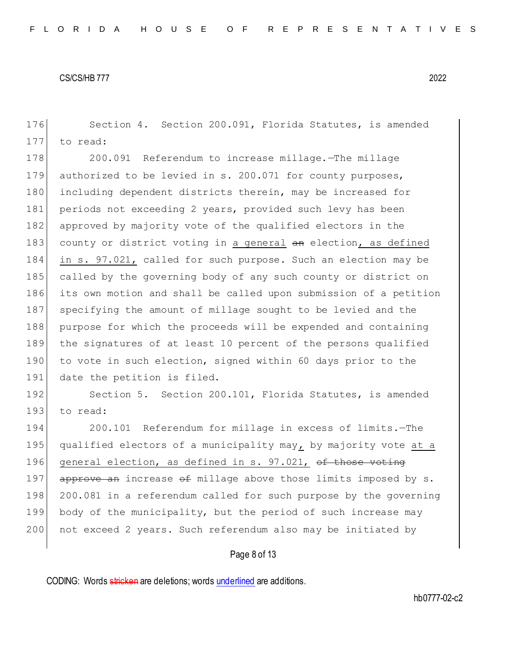176 Section 4. Section 200.091, Florida Statutes, is amended 177 to read:

178 200.091 Referendum to increase millage. The millage 179 authorized to be levied in s. 200.071 for county purposes, 180 including dependent districts therein, may be increased for 181 periods not exceeding 2 years, provided such levy has been 182 approved by majority vote of the qualified electors in the 183 county or district voting in a general an election, as defined 184 in s. 97.021, called for such purpose. Such an election may be 185 called by the governing body of any such county or district on 186 its own motion and shall be called upon submission of a petition 187 specifying the amount of millage sought to be levied and the 188 purpose for which the proceeds will be expended and containing 189 the signatures of at least 10 percent of the persons qualified 190 to vote in such election, signed within 60 days prior to the 191 date the petition is filed.

192 Section 5. Section 200.101, Florida Statutes, is amended 193 to read:

194 200.101 Referendum for millage in excess of limits.—The 195 qualified electors of a municipality may, by majority vote at a 196 general election, as defined in s. 97.021, of those voting 197 approve an increase  $\theta$  millage above those limits imposed by s. 198 200.081 in a referendum called for such purpose by the governing 199 body of the municipality, but the period of such increase may 200 not exceed 2 years. Such referendum also may be initiated by

### Page 8 of 13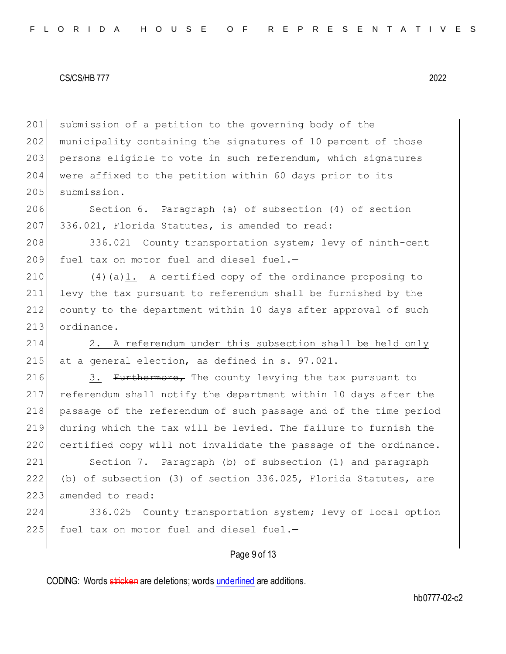201 submission of a petition to the governing body of the 202 municipality containing the signatures of 10 percent of those 203 persons eligible to vote in such referendum, which signatures 204 were affixed to the petition within 60 days prior to its 205 submission.

206 Section 6. Paragraph (a) of subsection (4) of section 207 336.021, Florida Statutes, is amended to read:

208 336.021 County transportation system; levy of ninth-cent 209 fuel tax on motor fuel and diesel fuel. $-$ 

 $(4)(a)1.$  A certified copy of the ordinance proposing to levy the tax pursuant to referendum shall be furnished by the county to the department within 10 days after approval of such 213 ordinance.

214 2. A referendum under this subsection shall be held only 215 at a general election, as defined in s. 97.021.

216 3. Furthermore, The county levying the tax pursuant to 217 referendum shall notify the department within 10 days after the 218 passage of the referendum of such passage and of the time period 219 during which the tax will be levied. The failure to furnish the 220 certified copy will not invalidate the passage of the ordinance.

221 Section 7. Paragraph (b) of subsection (1) and paragraph 222 (b) of subsection (3) of section 336.025, Florida Statutes, are 223 amended to read:

224 336.025 County transportation system; levy of local option  $225$  fuel tax on motor fuel and diesel fuel.-

## Page 9 of 13

CODING: Words stricken are deletions; words underlined are additions.

hb0777-02-c2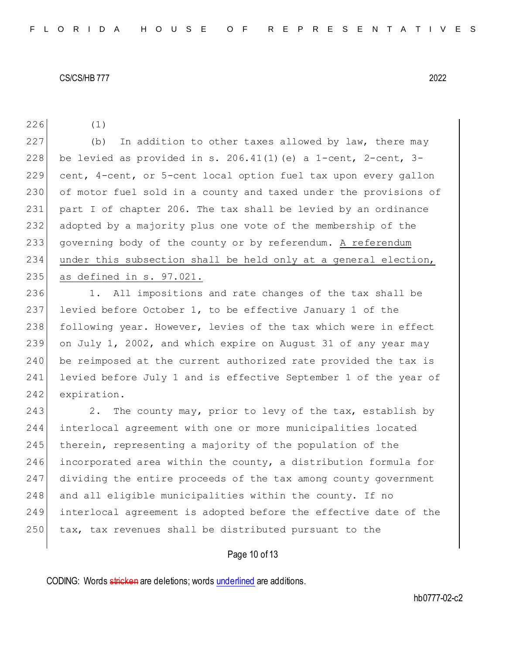226 (1)

227 (b) In addition to other taxes allowed by law, there may 228 be levied as provided in s. 206.41(1) (e) a 1-cent, 2-cent, 3-229 cent, 4-cent, or 5-cent local option fuel tax upon every gallon of motor fuel sold in a county and taxed under the provisions of part I of chapter 206. The tax shall be levied by an ordinance adopted by a majority plus one vote of the membership of the governing body of the county or by referendum. A referendum under this subsection shall be held only at a general election, as defined in s. 97.021.

236 1. All impositions and rate changes of the tax shall be 237 levied before October 1, to be effective January 1 of the 238 following year. However, levies of the tax which were in effect 239 on July 1, 2002, and which expire on August 31 of any year may 240 be reimposed at the current authorized rate provided the tax is 241 levied before July 1 and is effective September 1 of the year of 242 expiration.

243 243 2. The county may, prior to levy of the tax, establish by 244 interlocal agreement with one or more municipalities located 245 therein, representing a majority of the population of the 246 incorporated area within the county, a distribution formula for 247 dividing the entire proceeds of the tax among county government 248 and all eligible municipalities within the county. If no 249 interlocal agreement is adopted before the effective date of the 250 tax, tax revenues shall be distributed pursuant to the

## Page 10 of 13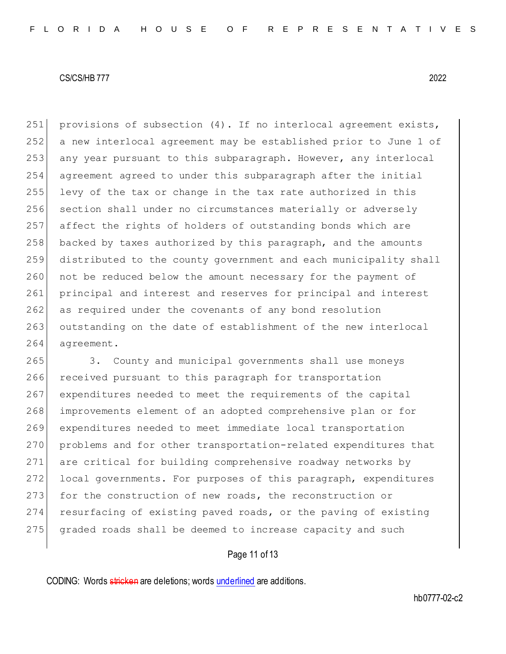251 provisions of subsection  $(4)$ . If no interlocal agreement exists, 252 a new interlocal agreement may be established prior to June 1 of 253 any year pursuant to this subparagraph. However, any interlocal 254 agreement agreed to under this subparagraph after the initial 255 levy of the tax or change in the tax rate authorized in this 256 section shall under no circumstances materially or adversely 257 affect the rights of holders of outstanding bonds which are 258 backed by taxes authorized by this paragraph, and the amounts 259 distributed to the county government and each municipality shall 260 not be reduced below the amount necessary for the payment of 261 principal and interest and reserves for principal and interest 262 as required under the covenants of any bond resolution 263 outstanding on the date of establishment of the new interlocal 264 agreement.

265 3. County and municipal governments shall use moneys 266 received pursuant to this paragraph for transportation 267 expenditures needed to meet the requirements of the capital 268 improvements element of an adopted comprehensive plan or for 269 expenditures needed to meet immediate local transportation 270 problems and for other transportation-related expenditures that 271 are critical for building comprehensive roadway networks by 272 local governments. For purposes of this paragraph, expenditures 273 for the construction of new roads, the reconstruction or 274 resurfacing of existing paved roads, or the paving of existing 275 graded roads shall be deemed to increase capacity and such

## Page 11 of 13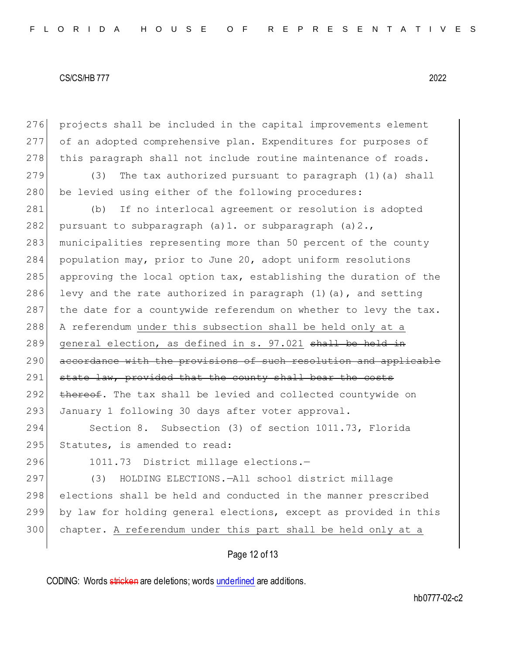276 projects shall be included in the capital improvements element 277 of an adopted comprehensive plan. Expenditures for purposes of 278 this paragraph shall not include routine maintenance of roads. 279 (3) The tax authorized pursuant to paragraph (1)(a) shall 280 be levied using either of the following procedures: 281 (b) If no interlocal agreement or resolution is adopted 282 pursuant to subparagraph  $(a)$ 1. or subparagraph  $(a)$ 2. 283 municipalities representing more than 50 percent of the county 284 population may, prior to June 20, adopt uniform resolutions 285 approving the local option tax, establishing the duration of the 286 levy and the rate authorized in paragraph  $(1)$  (a), and setting 287 the date for a countywide referendum on whether to levy the tax. 288 A referendum under this subsection shall be held only at a 289 general election, as defined in s. 97.021 shall be held in 290 accordance with the provisions of such resolution and applicable 291 state law, provided that the county shall bear the costs 292 thereof. The tax shall be levied and collected countywide on 293 January 1 following 30 days after voter approval. 294 Section 8. Subsection (3) of section 1011.73, Florida 295 Statutes, is amended to read: 296 1011.73 District millage elections.-297 (3) HOLDING ELECTIONS.—All school district millage 298 elections shall be held and conducted in the manner prescribed 299 by law for holding general elections, except as provided in this 300 chapter. A referendum under this part shall be held only at a

Page 12 of 13

CODING: Words stricken are deletions; words underlined are additions.

hb0777-02-c2